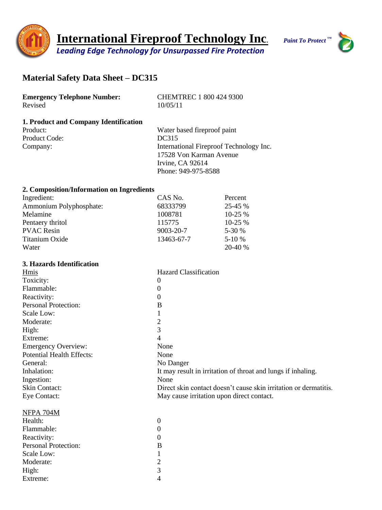



# **Material Safety Data Sheet – DC315**

| <b>Emergency Telephone Number:</b> | <b>CHEMTREC 1 800 424 9300</b> |
|------------------------------------|--------------------------------|
| Revised                            | 10/05/11                       |

#### **1. Product and Company Identification**

Product Code: DC315

Product: Water based fireproof paint Company: International Fireproof Technology Inc. 17528 Von Karman Avenue Irvine, CA 92614 Phone: 949-975-8588

# **2. Composition/Information on Ingredients**

Moderate: 2 High: 3 Extreme: 4

| Ingredient:             | CAS No.    | Percent   |
|-------------------------|------------|-----------|
| Ammonium Polyphosphate: | 68333799   | 25-45 %   |
| Melamine                | 1008781    | $10-25%$  |
| Pentaery thritol        | 115775     | $10-25%$  |
| <b>PVAC Resin</b>       | 9003-20-7  | $5 - 30%$ |
| Titanium Oxide          | 13463-67-7 | $5-10%$   |
| Water                   |            | 20-40 %   |

### **3. Hazards Identification**

| <b>Hmis</b>                      | <b>Hazard Classification</b>                                     |
|----------------------------------|------------------------------------------------------------------|
| Toxicity:                        | 0                                                                |
| Flammable:                       | $\Omega$                                                         |
| Reactivity:                      | $\Omega$                                                         |
| <b>Personal Protection:</b>      | B                                                                |
| Scale Low:                       |                                                                  |
| Moderate:                        | 2                                                                |
| High:                            | 3                                                                |
| Extreme:                         | 4                                                                |
| <b>Emergency Overview:</b>       | None                                                             |
| <b>Potential Health Effects:</b> | None                                                             |
| General:                         | No Danger                                                        |
| Inhalation:                      | It may result in irritation of throat and lungs if inhaling.     |
| Ingestion:                       | None                                                             |
| <b>Skin Contact:</b>             | Direct skin contact doesn't cause skin irritation or dermatitis. |
| <b>Eye Contact:</b>              | May cause irritation upon direct contact.                        |
| NFPA 704M                        |                                                                  |
| Health:                          | $\theta$                                                         |
| Flammable:                       | $\theta$                                                         |
| Reactivity:                      | $\Omega$                                                         |
| <b>Personal Protection:</b>      | B                                                                |
| Scale Low:                       |                                                                  |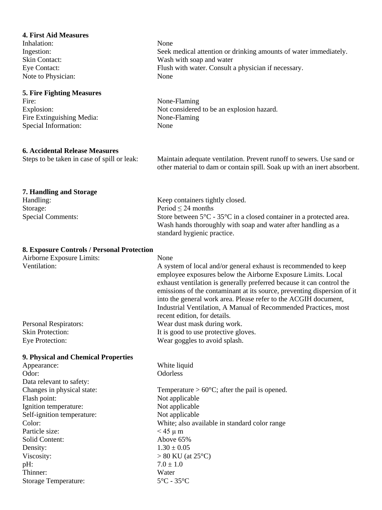| <b>4. First Aid Measures</b><br>Inhalation:<br>Ingestion:<br>Skin Contact:<br>Eye Contact:<br>Note to Physician:<br><b>5. Fire Fighting Measures</b> | None<br>Seek medical attention or drinking amounts of water immediately.<br>Wash with soap and water<br>Flush with water. Consult a physician if necessary.<br>None                                                                                                                                                                                                                                                                                               |
|------------------------------------------------------------------------------------------------------------------------------------------------------|-------------------------------------------------------------------------------------------------------------------------------------------------------------------------------------------------------------------------------------------------------------------------------------------------------------------------------------------------------------------------------------------------------------------------------------------------------------------|
| Fire:                                                                                                                                                | None-Flaming                                                                                                                                                                                                                                                                                                                                                                                                                                                      |
| Explosion:                                                                                                                                           | Not considered to be an explosion hazard.                                                                                                                                                                                                                                                                                                                                                                                                                         |
| Fire Extinguishing Media:                                                                                                                            | None-Flaming                                                                                                                                                                                                                                                                                                                                                                                                                                                      |
| Special Information:                                                                                                                                 | None                                                                                                                                                                                                                                                                                                                                                                                                                                                              |
| <b>6. Accidental Release Measures</b>                                                                                                                | Maintain adequate ventilation. Prevent runoff to sewers. Use sand or                                                                                                                                                                                                                                                                                                                                                                                              |
| Steps to be taken in case of spill or leak:                                                                                                          | other material to dam or contain spill. Soak up with an inert absorbent.                                                                                                                                                                                                                                                                                                                                                                                          |
| 7. Handling and Storage<br>Handling:<br>Storage:<br><b>Special Comments:</b>                                                                         | Keep containers tightly closed.<br>Period $\leq$ 24 months<br>Store between $5^{\circ}$ C - $35^{\circ}$ C in a closed container in a protected area.<br>Wash hands thoroughly with soap and water after handling as a<br>standard hygienic practice.                                                                                                                                                                                                             |
| 8. Exposure Controls / Personal Protection<br>Airborne Exposure Limits:<br>Ventilation:                                                              | None<br>A system of local and/or general exhaust is recommended to keep<br>employee exposures below the Airborne Exposure Limits. Local<br>exhaust ventilation is generally preferred because it can control the<br>emissions of the contaminant at its source, preventing dispersion of it<br>into the general work area. Please refer to the ACGIH document,<br>Industrial Ventilation, A Manual of Recommended Practices, most<br>recent edition, for details. |
| <b>Personal Respirators:</b>                                                                                                                         | Wear dust mask during work.                                                                                                                                                                                                                                                                                                                                                                                                                                       |
| <b>Skin Protection:</b>                                                                                                                              | It is good to use protective gloves.                                                                                                                                                                                                                                                                                                                                                                                                                              |
| Eye Protection:                                                                                                                                      | Wear goggles to avoid splash.                                                                                                                                                                                                                                                                                                                                                                                                                                     |
| 9. Physical and Chemical Properties                                                                                                                  |                                                                                                                                                                                                                                                                                                                                                                                                                                                                   |
| Appearance:<br>Odor:<br>Data relevant to safety:                                                                                                     | White liquid<br>Odorless                                                                                                                                                                                                                                                                                                                                                                                                                                          |
| Changes in physical state:                                                                                                                           | Temperature $> 60^{\circ}$ C; after the pail is opened.                                                                                                                                                                                                                                                                                                                                                                                                           |
| Flash point:                                                                                                                                         | Not applicable                                                                                                                                                                                                                                                                                                                                                                                                                                                    |
| Ignition temperature:                                                                                                                                | Not applicable                                                                                                                                                                                                                                                                                                                                                                                                                                                    |
| Self-ignition temperature:                                                                                                                           | Not applicable                                                                                                                                                                                                                                                                                                                                                                                                                                                    |
| Color:                                                                                                                                               | White; also available in standard color range                                                                                                                                                                                                                                                                                                                                                                                                                     |
| Particle size:                                                                                                                                       | $<$ 45 $\mu$ m                                                                                                                                                                                                                                                                                                                                                                                                                                                    |
| Solid Content:                                                                                                                                       | Above 65%                                                                                                                                                                                                                                                                                                                                                                                                                                                         |
| Density:                                                                                                                                             | $1.30 \pm 0.05$                                                                                                                                                                                                                                                                                                                                                                                                                                                   |
| Viscosity:                                                                                                                                           | $> 80$ KU (at 25 <sup>o</sup> C)                                                                                                                                                                                                                                                                                                                                                                                                                                  |
| pH:                                                                                                                                                  | $7.0 \pm 1.0$                                                                                                                                                                                                                                                                                                                                                                                                                                                     |
| Thinner:                                                                                                                                             | Water                                                                                                                                                                                                                                                                                                                                                                                                                                                             |
| <b>Storage Temperature:</b>                                                                                                                          | $5^{\circ}$ C - 35 $^{\circ}$ C                                                                                                                                                                                                                                                                                                                                                                                                                                   |